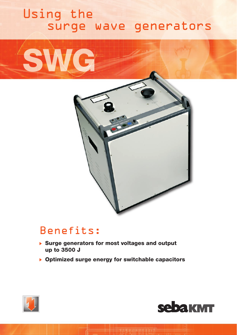## Using the surge wave generators





## Benefits: Benefits

- $\triangleright$  Surge generators for most voltages and output up to 3500 J
- $\triangleright$  Optimized surge energy for switchable capacitors



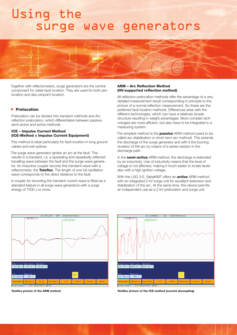## Using the surge wave generators



Together with reflectometers, surge generators are the central component for cable fault location. They are used for both prelocation and also pinpoint location.

### **Prelocation**

Prelocation can be divided into transient methods and Arc reflection prelocation, which differentiates between passive, semi-active and active methods.

### ICE – Impulse Current Method (ICE-Method = Impulse Current Equipment)

This method is ideal particularly for fault location in long ground cables and wet splices.

The surge wave generator ignites an arc at the fault. This results in a transient, i.e. a spreading and repeatedly reflected travelling wave between the fault and the surge wave generator. An inductive coupler records this transient wave with a reflectometer, the Teleflex. The length of one full oscillation wave corresponds to the direct distance to the fault.

A coupler for recording the transient current wave is fitted as a standard feature in all surge wave generators with a surge energy of 1000 J or more.

### ARM – Arc Reflection Method (HV-supported reflection method)

All reflection prelocation methods offer the advantage of a very detailed measurement result corresponding in principle to the picture of a normal reflection measurement. So these are the preferred fault location methods. Differences arise with the different technologies, which can have a relatively simple structure resulting in weight advantages. More complex technologies are more efficient, but also have to be integrated in a measuring system.

The simplest method is the **passive** ARM method (used to be called arc stabilization or short-term arc method). This extends the discharge of the surge generator and with it the burning duration of the arc by means of a series resistor in the discharge path.

In the **semi-active** ARM method, the discharge is extended by an inductivity. Use of inductivity means that the level of voltage is not affected, making it much easier to locate faults also with a high ignition voltage.

With the LSG 3-E, SebaKMT offers an **active** ARM method with an integrated 2 kV surge unit for excellent extension and stabilization of the arc. At the same time, this device permits an independent use as a 2 kV prelocation and surge unit.





Teleflex picture of the ARM method **Teleflex picture of the ICE method (current decoupling)**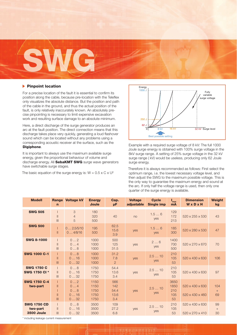

## $\blacktriangleright$  Pinpoint location

For a precise location of the fault it is essential to confirm its position along the cable, because pre-location with the Teleflex only visualizes the absolute distance. But the position and path of the cable in the ground, and thus the actual position of the fault, is only relatively inaccurately known. An absolutely precise pinpointing is necessary to limit expensive excavation work and resulting surface damage to an absolute minimum.

Here, a direct discharge of the surge generator produces an arc at the fault position. The direct connection means that this discharge takes place very quickly, generating a loud flashover sound which can be located without any problems using a corresponding acoustic receiver at the surface, such as the Digiphone.

It is important to always use the maximum available surge energy, given the proportional behaviour of volume and discharge energy. All **SebaKMT SWG** surge wave generators have switchable surge stages.

The basic equation of the surge energy is:  $W = 0.5 \times C \times U^2$ 



Example with a required surge voltage of 8 kV: The full 1000 Joule surge energy is obtained with 100% surge voltage in the 8kV surge range. A setting of 25% surge voltage in the 32 kV surge range ( kV) would be useless, producing only 62 Joule surge energy.

Therefore it is always recommended as follows: First select the optimum range, i.e. the lowest necessary voltage level, and then adjust the SWG to the maximum possible voltage. This is the only way to guarantee the maximum energy and sound at the arc. If only half the voltage range is used, then only one quarter of the surge energy is available.

| <b>Modell</b>                                       | n                                  | <b>Range Voltage kV</b>      | <b>Energy</b><br><b>Joule</b>        | Cap.<br>μF.                       | <b>Voltage</b><br>adiustable | <b>Cycle</b><br><b>Single imp</b> | $\mathbf{I}_{\text{max}}$<br><b>mA</b> | <b>Dimension</b><br>WxDxH          | Weight<br>kg     |
|-----------------------------------------------------|------------------------------------|------------------------------|--------------------------------------|-----------------------------------|------------------------------|-----------------------------------|----------------------------------------|------------------------------------|------------------|
| <b>SWG 505</b>                                      | $\mathbb{I}$<br>III                | 3<br>$\overline{4}$<br>5     | 180<br>320<br>500                    | 40                                | no                           | 1.56<br>yes                       | 129<br>172<br>213                      | 520 x 255 x 530                    | 43               |
| <b>SWG 500</b>                                      | $\mathbb{I}$                       | 02.5/5/10<br>04/8/16         | 195<br>500                           | 62.5<br>15.6<br>3.9               | yes                          | 1.56<br>yes                       | 185<br>300                             | 520 x 280 x 530                    | 47               |
| <b>SWG 8-1000</b>                                   | $\mathbb{I}$<br>III                | 02<br>04<br>08               | 1000<br>1000<br>1000                 | 500<br>125<br>31.5                | yes                          | 26<br>yes                         | 1400<br>700<br>500                     | 520 x 270 x 670                    | 70               |
| <b>SWG 1000 C-1</b>                                 | $\mathbf{I}$<br>III                | 08<br>016<br>032             | 1000<br>1000<br>1000                 | 31.2<br>7.8<br>$\overline{2}$     | yes                          | 2.510<br>yes                      | 210<br>105<br>53                       | 520 x 430 x 630                    | 106              |
| <b>SWG 1750 C</b><br>SWG 1750 CI *                  | $\parallel$<br>III                 | 08<br>016<br>032             | 1750<br>1750<br>1750                 | 54.4<br>13.6<br>3.4               | yes                          | 2.510<br>yes                      | 210<br>105<br>53                       | 520 x 430 x 630                    | 97               |
| <b>SWG 1750 C-4</b><br>two-part                     | $\parallel$<br>$\mathbf{I}$<br>III | 02<br>04<br>08<br>016<br>032 | 1150<br>1150<br>1750<br>1750<br>1750 | 566<br>142<br>54.4<br>13.6<br>3.4 | yes                          | 2.510<br>yes                      | 3650<br>1850<br>210<br>105<br>53       | 520 x 430 x 630<br>520 x 430 x 460 | 104<br>$+$<br>69 |
| <b>SWG 1750 CD</b><br>two-part<br><b>3500 Joule</b> | $\mathbb{I}$<br>III                | 08<br>016<br>032             | 3500<br>3500<br>3500                 | 109<br>27.2<br>6.8                | yes                          | 2.510<br>yes                      | 210<br>105<br>53                       | 520 x 430 x 630<br>520 x 270 x 410 | 99<br>$+$<br>30  |

\* including leakage current measurement